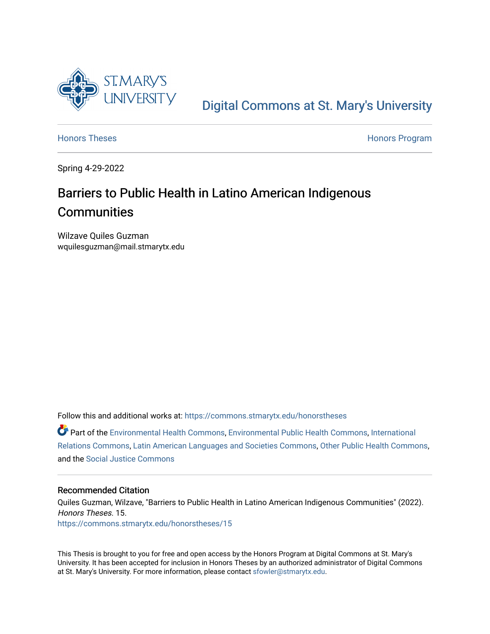

[Digital Commons at St. Mary's University](https://commons.stmarytx.edu/) 

[Honors Theses](https://commons.stmarytx.edu/honorstheses) **Honors** Program

Spring 4-29-2022

# Barriers to Public Health in Latino American Indigenous **Communities**

Wilzave Quiles Guzman wquilesguzman@mail.stmarytx.edu

Follow this and additional works at: [https://commons.stmarytx.edu/honorstheses](https://commons.stmarytx.edu/honorstheses?utm_source=commons.stmarytx.edu%2Fhonorstheses%2F15&utm_medium=PDF&utm_campaign=PDFCoverPages) 

Part of the [Environmental Health Commons](http://network.bepress.com/hgg/discipline/64?utm_source=commons.stmarytx.edu%2Fhonorstheses%2F15&utm_medium=PDF&utm_campaign=PDFCoverPages), [Environmental Public Health Commons](http://network.bepress.com/hgg/discipline/739?utm_source=commons.stmarytx.edu%2Fhonorstheses%2F15&utm_medium=PDF&utm_campaign=PDFCoverPages), [International](http://network.bepress.com/hgg/discipline/389?utm_source=commons.stmarytx.edu%2Fhonorstheses%2F15&utm_medium=PDF&utm_campaign=PDFCoverPages)  [Relations Commons,](http://network.bepress.com/hgg/discipline/389?utm_source=commons.stmarytx.edu%2Fhonorstheses%2F15&utm_medium=PDF&utm_campaign=PDFCoverPages) [Latin American Languages and Societies Commons,](http://network.bepress.com/hgg/discipline/483?utm_source=commons.stmarytx.edu%2Fhonorstheses%2F15&utm_medium=PDF&utm_campaign=PDFCoverPages) [Other Public Health Commons,](http://network.bepress.com/hgg/discipline/748?utm_source=commons.stmarytx.edu%2Fhonorstheses%2F15&utm_medium=PDF&utm_campaign=PDFCoverPages) and the [Social Justice Commons](http://network.bepress.com/hgg/discipline/1432?utm_source=commons.stmarytx.edu%2Fhonorstheses%2F15&utm_medium=PDF&utm_campaign=PDFCoverPages)

#### Recommended Citation

Quiles Guzman, Wilzave, "Barriers to Public Health in Latino American Indigenous Communities" (2022). Honors Theses. 15. [https://commons.stmarytx.edu/honorstheses/15](https://commons.stmarytx.edu/honorstheses/15?utm_source=commons.stmarytx.edu%2Fhonorstheses%2F15&utm_medium=PDF&utm_campaign=PDFCoverPages) 

This Thesis is brought to you for free and open access by the Honors Program at Digital Commons at St. Mary's University. It has been accepted for inclusion in Honors Theses by an authorized administrator of Digital Commons at St. Mary's University. For more information, please contact [sfowler@stmarytx.edu](mailto:sfowler@stmarytx.edu).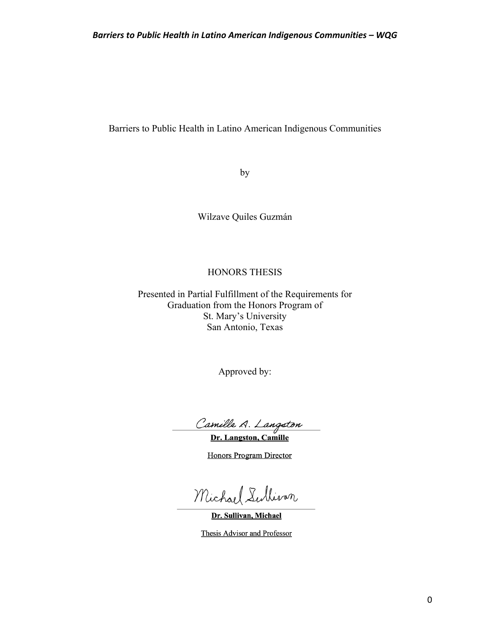by

Wilzave Quiles Guzmán

# HONORS THESIS

Presented in Partial Fulfillment of the Requirements for Graduation from the Honors Program of St. Mary's University San Antonio, Texas

Approved by:

Camille A. Langston

Dr. Langston, Camille

**Honors Program Director** 

Michael Sullivan

Dr. Sullivan, Michael

Thesis Advisor and Professor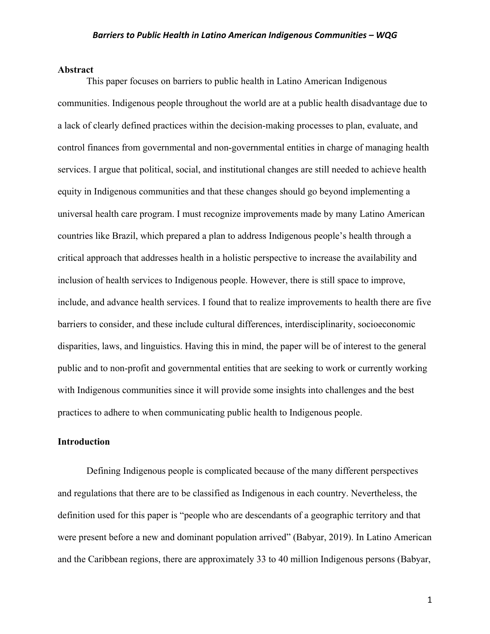#### **Abstract**

This paper focuses on barriers to public health in Latino American Indigenous communities. Indigenous people throughout the world are at a public health disadvantage due to a lack of clearly defined practices within the decision-making processes to plan, evaluate, and control finances from governmental and non-governmental entities in charge of managing health services. I argue that political, social, and institutional changes are still needed to achieve health equity in Indigenous communities and that these changes should go beyond implementing a universal health care program. I must recognize improvements made by many Latino American countries like Brazil, which prepared a plan to address Indigenous people's health through a critical approach that addresses health in a holistic perspective to increase the availability and inclusion of health services to Indigenous people. However, there is still space to improve, include, and advance health services. I found that to realize improvements to health there are five barriers to consider, and these include cultural differences, interdisciplinarity, socioeconomic disparities, laws, and linguistics. Having this in mind, the paper will be of interest to the general public and to non-profit and governmental entities that are seeking to work or currently working with Indigenous communities since it will provide some insights into challenges and the best practices to adhere to when communicating public health to Indigenous people.

#### **Introduction**

Defining Indigenous people is complicated because of the many different perspectives and regulations that there are to be classified as Indigenous in each country. Nevertheless, the definition used for this paper is "people who are descendants of a geographic territory and that were present before a new and dominant population arrived" (Babyar, 2019). In Latino American and the Caribbean regions, there are approximately 33 to 40 million Indigenous persons (Babyar,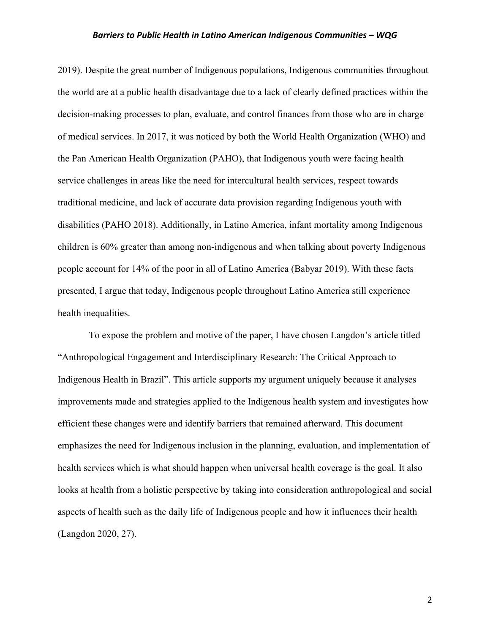2019). Despite the great number of Indigenous populations, Indigenous communities throughout the world are at a public health disadvantage due to a lack of clearly defined practices within the decision-making processes to plan, evaluate, and control finances from those who are in charge of medical services. In 2017, it was noticed by both the World Health Organization (WHO) and the Pan American Health Organization (PAHO), that Indigenous youth were facing health service challenges in areas like the need for intercultural health services, respect towards traditional medicine, and lack of accurate data provision regarding Indigenous youth with disabilities (PAHO 2018). Additionally, in Latino America, infant mortality among Indigenous children is 60% greater than among non-indigenous and when talking about poverty Indigenous people account for 14% of the poor in all of Latino America (Babyar 2019). With these facts presented, I argue that today, Indigenous people throughout Latino America still experience health inequalities.

To expose the problem and motive of the paper, I have chosen Langdon's article titled "Anthropological Engagement and Interdisciplinary Research: The Critical Approach to Indigenous Health in Brazil". This article supports my argument uniquely because it analyses improvements made and strategies applied to the Indigenous health system and investigates how efficient these changes were and identify barriers that remained afterward. This document emphasizes the need for Indigenous inclusion in the planning, evaluation, and implementation of health services which is what should happen when universal health coverage is the goal. It also looks at health from a holistic perspective by taking into consideration anthropological and social aspects of health such as the daily life of Indigenous people and how it influences their health (Langdon 2020, 27).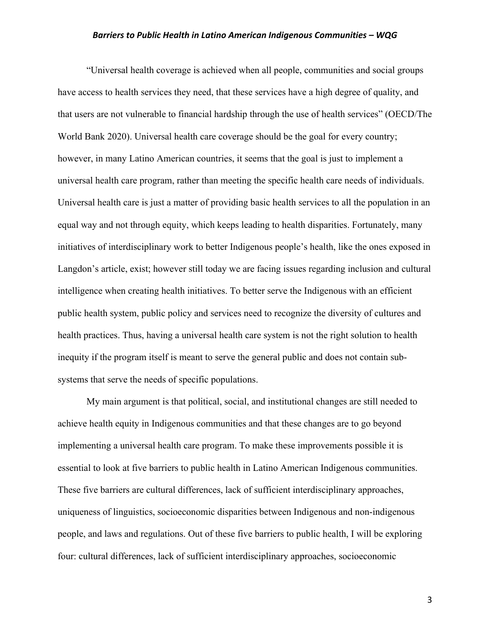"Universal health coverage is achieved when all people, communities and social groups have access to health services they need, that these services have a high degree of quality, and that users are not vulnerable to financial hardship through the use of health services" (OECD/The World Bank 2020). Universal health care coverage should be the goal for every country; however, in many Latino American countries, it seems that the goal is just to implement a universal health care program, rather than meeting the specific health care needs of individuals. Universal health care is just a matter of providing basic health services to all the population in an equal way and not through equity, which keeps leading to health disparities. Fortunately, many initiatives of interdisciplinary work to better Indigenous people's health, like the ones exposed in Langdon's article, exist; however still today we are facing issues regarding inclusion and cultural intelligence when creating health initiatives. To better serve the Indigenous with an efficient public health system, public policy and services need to recognize the diversity of cultures and health practices. Thus, having a universal health care system is not the right solution to health inequity if the program itself is meant to serve the general public and does not contain subsystems that serve the needs of specific populations.

My main argument is that political, social, and institutional changes are still needed to achieve health equity in Indigenous communities and that these changes are to go beyond implementing a universal health care program. To make these improvements possible it is essential to look at five barriers to public health in Latino American Indigenous communities. These five barriers are cultural differences, lack of sufficient interdisciplinary approaches, uniqueness of linguistics, socioeconomic disparities between Indigenous and non-indigenous people, and laws and regulations. Out of these five barriers to public health, I will be exploring four: cultural differences, lack of sufficient interdisciplinary approaches, socioeconomic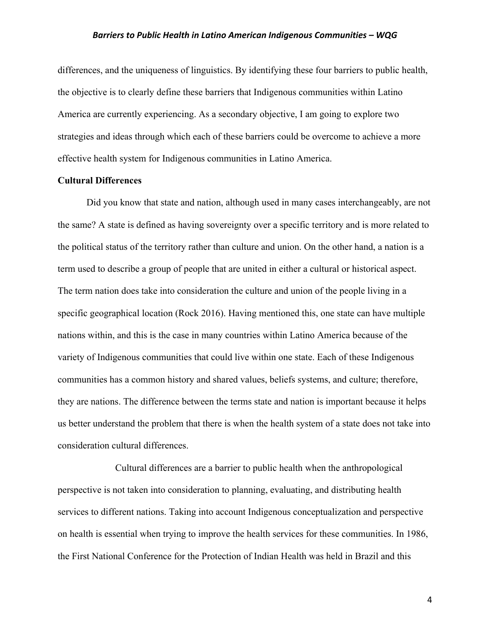differences, and the uniqueness of linguistics. By identifying these four barriers to public health, the objective is to clearly define these barriers that Indigenous communities within Latino America are currently experiencing. As a secondary objective, I am going to explore two strategies and ideas through which each of these barriers could be overcome to achieve a more effective health system for Indigenous communities in Latino America.

#### **Cultural Differences**

Did you know that state and nation, although used in many cases interchangeably, are not the same? A state is defined as having sovereignty over a specific territory and is more related to the political status of the territory rather than culture and union. On the other hand, a nation is a term used to describe a group of people that are united in either a cultural or historical aspect. The term nation does take into consideration the culture and union of the people living in a specific geographical location (Rock 2016). Having mentioned this, one state can have multiple nations within, and this is the case in many countries within Latino America because of the variety of Indigenous communities that could live within one state. Each of these Indigenous communities has a common history and shared values, beliefs systems, and culture; therefore, they are nations. The difference between the terms state and nation is important because it helps us better understand the problem that there is when the health system of a state does not take into consideration cultural differences.

Cultural differences are a barrier to public health when the anthropological perspective is not taken into consideration to planning, evaluating, and distributing health services to different nations. Taking into account Indigenous conceptualization and perspective on health is essential when trying to improve the health services for these communities. In 1986, the First National Conference for the Protection of Indian Health was held in Brazil and this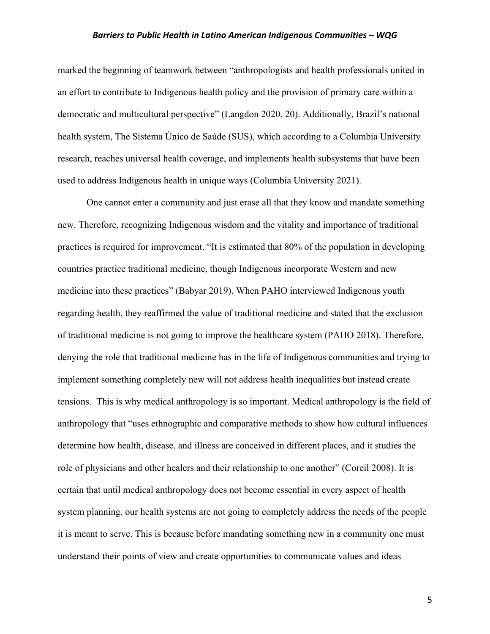marked the beginning of teamwork between "anthropologists and health professionals united in an effort to contribute to Indigenous health policy and the provision of primary care within a democratic and multicultural perspective" (Langdon 2020, 20). Additionally, Brazil's national health system, The Sistema Único de Saúde (SUS), which according to a Columbia University research, reaches universal health coverage, and implements health subsystems that have been used to address Indigenous health in unique ways (Columbia University 2021).

One cannot enter a community and just erase all that they know and mandate something new. Therefore, recognizing Indigenous wisdom and the vitality and importance of traditional practices is required for improvement. "It is estimated that 80% of the population in developing countries practice traditional medicine, though Indigenous incorporate Western and new medicine into these practices" (Babyar 2019). When PAHO interviewed Indigenous youth regarding health, they reaffirmed the value of traditional medicine and stated that the exclusion of traditional medicine is not going to improve the healthcare system (PAHO 2018). Therefore, denying the role that traditional medicine has in the life of Indigenous communities and trying to implement something completely new will not address health inequalities but instead create tensions. This is why medical anthropology is so important. Medical anthropology is the field of anthropology that "uses ethnographic and comparative methods to show how cultural influences determine how health, disease, and illness are conceived in different places, and it studies the role of physicians and other healers and their relationship to one another" (Coreil 2008). It is certain that until medical anthropology does not become essential in every aspect of health system planning, our health systems are not going to completely address the needs of the people it is meant to serve. This is because before mandating something new in a community one must understand their points of view and create opportunities to communicate values and ideas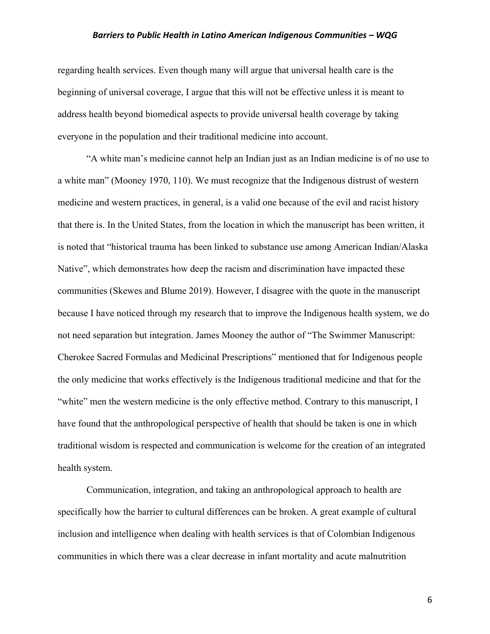regarding health services. Even though many will argue that universal health care is the beginning of universal coverage, I argue that this will not be effective unless it is meant to address health beyond biomedical aspects to provide universal health coverage by taking everyone in the population and their traditional medicine into account.

"A white man's medicine cannot help an Indian just as an Indian medicine is of no use to a white man" (Mooney 1970, 110). We must recognize that the Indigenous distrust of western medicine and western practices, in general, is a valid one because of the evil and racist history that there is. In the United States, from the location in which the manuscript has been written, it is noted that "historical trauma has been linked to substance use among American Indian/Alaska Native", which demonstrates how deep the racism and discrimination have impacted these communities (Skewes and Blume 2019). However, I disagree with the quote in the manuscript because I have noticed through my research that to improve the Indigenous health system, we do not need separation but integration. James Mooney the author of "The Swimmer Manuscript: Cherokee Sacred Formulas and Medicinal Prescriptions" mentioned that for Indigenous people the only medicine that works effectively is the Indigenous traditional medicine and that for the "white" men the western medicine is the only effective method. Contrary to this manuscript, I have found that the anthropological perspective of health that should be taken is one in which traditional wisdom is respected and communication is welcome for the creation of an integrated health system.

Communication, integration, and taking an anthropological approach to health are specifically how the barrier to cultural differences can be broken. A great example of cultural inclusion and intelligence when dealing with health services is that of Colombian Indigenous communities in which there was a clear decrease in infant mortality and acute malnutrition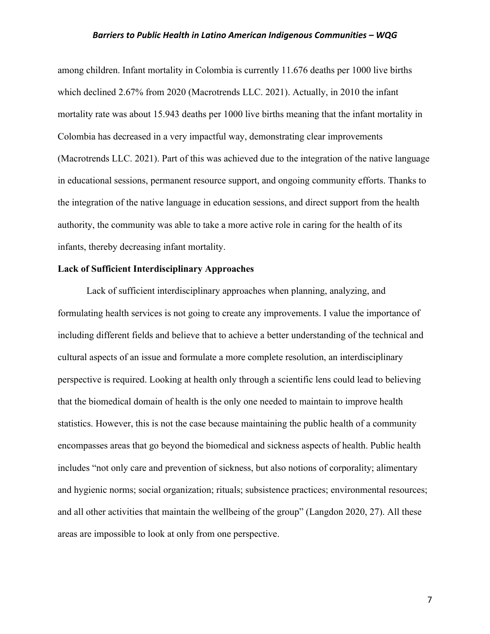among children. Infant mortality in Colombia is currently 11.676 deaths per 1000 live births which declined 2.67% from 2020 (Macrotrends LLC. 2021). Actually, in 2010 the infant mortality rate was about 15.943 deaths per 1000 live births meaning that the infant mortality in Colombia has decreased in a very impactful way, demonstrating clear improvements (Macrotrends LLC. 2021). Part of this was achieved due to the integration of the native language in educational sessions, permanent resource support, and ongoing community efforts. Thanks to the integration of the native language in education sessions, and direct support from the health authority, the community was able to take a more active role in caring for the health of its infants, thereby decreasing infant mortality.

#### **Lack of Sufficient Interdisciplinary Approaches**

Lack of sufficient interdisciplinary approaches when planning, analyzing, and formulating health services is not going to create any improvements. I value the importance of including different fields and believe that to achieve a better understanding of the technical and cultural aspects of an issue and formulate a more complete resolution, an interdisciplinary perspective is required. Looking at health only through a scientific lens could lead to believing that the biomedical domain of health is the only one needed to maintain to improve health statistics. However, this is not the case because maintaining the public health of a community encompasses areas that go beyond the biomedical and sickness aspects of health. Public health includes "not only care and prevention of sickness, but also notions of corporality; alimentary and hygienic norms; social organization; rituals; subsistence practices; environmental resources; and all other activities that maintain the wellbeing of the group" (Langdon 2020, 27). All these areas are impossible to look at only from one perspective.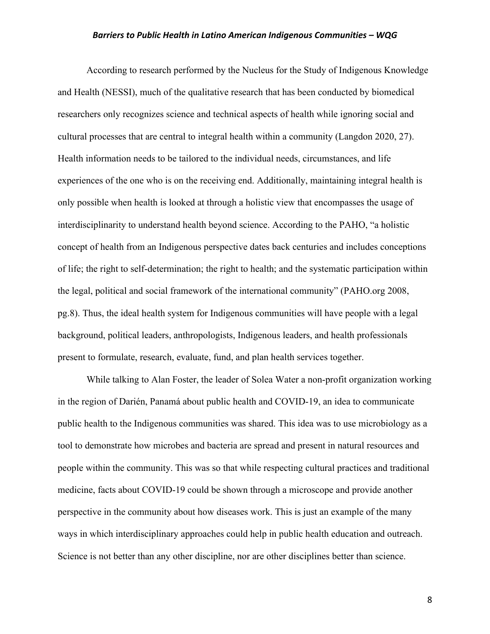According to research performed by the Nucleus for the Study of Indigenous Knowledge and Health (NESSI), much of the qualitative research that has been conducted by biomedical researchers only recognizes science and technical aspects of health while ignoring social and cultural processes that are central to integral health within a community (Langdon 2020, 27). Health information needs to be tailored to the individual needs, circumstances, and life experiences of the one who is on the receiving end. Additionally, maintaining integral health is only possible when health is looked at through a holistic view that encompasses the usage of interdisciplinarity to understand health beyond science. According to the PAHO, "a holistic concept of health from an Indigenous perspective dates back centuries and includes conceptions of life; the right to self-determination; the right to health; and the systematic participation within the legal, political and social framework of the international community" (PAHO.org 2008, pg.8). Thus, the ideal health system for Indigenous communities will have people with a legal background, political leaders, anthropologists, Indigenous leaders, and health professionals present to formulate, research, evaluate, fund, and plan health services together.

While talking to Alan Foster, the leader of Solea Water a non-profit organization working in the region of Darién, Panamá about public health and COVID-19, an idea to communicate public health to the Indigenous communities was shared. This idea was to use microbiology as a tool to demonstrate how microbes and bacteria are spread and present in natural resources and people within the community. This was so that while respecting cultural practices and traditional medicine, facts about COVID-19 could be shown through a microscope and provide another perspective in the community about how diseases work. This is just an example of the many ways in which interdisciplinary approaches could help in public health education and outreach. Science is not better than any other discipline, nor are other disciplines better than science.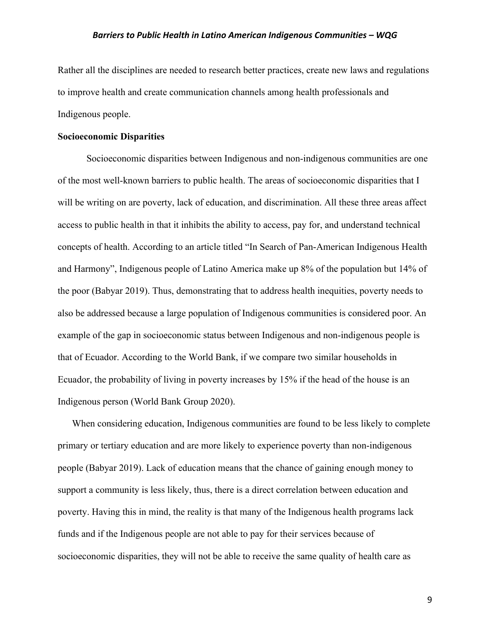Rather all the disciplines are needed to research better practices, create new laws and regulations to improve health and create communication channels among health professionals and Indigenous people.

#### **Socioeconomic Disparities**

Socioeconomic disparities between Indigenous and non-indigenous communities are one of the most well-known barriers to public health. The areas of socioeconomic disparities that I will be writing on are poverty, lack of education, and discrimination. All these three areas affect access to public health in that it inhibits the ability to access, pay for, and understand technical concepts of health. According to an article titled "In Search of Pan-American Indigenous Health and Harmony", Indigenous people of Latino America make up 8% of the population but 14% of the poor (Babyar 2019). Thus, demonstrating that to address health inequities, poverty needs to also be addressed because a large population of Indigenous communities is considered poor. An example of the gap in socioeconomic status between Indigenous and non-indigenous people is that of Ecuador. According to the World Bank, if we compare two similar households in Ecuador, the probability of living in poverty increases by 15% if the head of the house is an Indigenous person (World Bank Group 2020).

When considering education, Indigenous communities are found to be less likely to complete primary or tertiary education and are more likely to experience poverty than non-indigenous people (Babyar 2019). Lack of education means that the chance of gaining enough money to support a community is less likely, thus, there is a direct correlation between education and poverty. Having this in mind, the reality is that many of the Indigenous health programs lack funds and if the Indigenous people are not able to pay for their services because of socioeconomic disparities, they will not be able to receive the same quality of health care as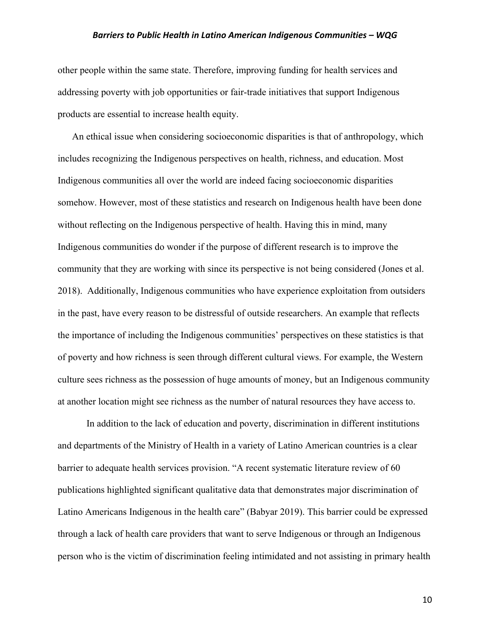other people within the same state. Therefore, improving funding for health services and addressing poverty with job opportunities or fair-trade initiatives that support Indigenous products are essential to increase health equity.

An ethical issue when considering socioeconomic disparities is that of anthropology, which includes recognizing the Indigenous perspectives on health, richness, and education. Most Indigenous communities all over the world are indeed facing socioeconomic disparities somehow. However, most of these statistics and research on Indigenous health have been done without reflecting on the Indigenous perspective of health. Having this in mind, many Indigenous communities do wonder if the purpose of different research is to improve the community that they are working with since its perspective is not being considered (Jones et al. 2018). Additionally, Indigenous communities who have experience exploitation from outsiders in the past, have every reason to be distressful of outside researchers. An example that reflects the importance of including the Indigenous communities' perspectives on these statistics is that of poverty and how richness is seen through different cultural views. For example, the Western culture sees richness as the possession of huge amounts of money, but an Indigenous community at another location might see richness as the number of natural resources they have access to.

In addition to the lack of education and poverty, discrimination in different institutions and departments of the Ministry of Health in a variety of Latino American countries is a clear barrier to adequate health services provision. "A recent systematic literature review of 60 publications highlighted significant qualitative data that demonstrates major discrimination of Latino Americans Indigenous in the health care" (Babyar 2019). This barrier could be expressed through a lack of health care providers that want to serve Indigenous or through an Indigenous person who is the victim of discrimination feeling intimidated and not assisting in primary health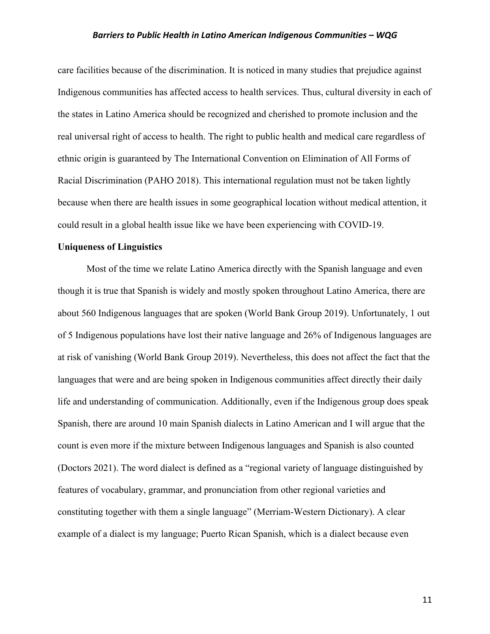care facilities because of the discrimination. It is noticed in many studies that prejudice against Indigenous communities has affected access to health services. Thus, cultural diversity in each of the states in Latino America should be recognized and cherished to promote inclusion and the real universal right of access to health. The right to public health and medical care regardless of ethnic origin is guaranteed by The International Convention on Elimination of All Forms of Racial Discrimination (PAHO 2018). This international regulation must not be taken lightly because when there are health issues in some geographical location without medical attention, it could result in a global health issue like we have been experiencing with COVID-19.

#### **Uniqueness of Linguistics**

Most of the time we relate Latino America directly with the Spanish language and even though it is true that Spanish is widely and mostly spoken throughout Latino America, there are about 560 Indigenous languages that are spoken (World Bank Group 2019). Unfortunately, 1 out of 5 Indigenous populations have lost their native language and 26% of Indigenous languages are at risk of vanishing (World Bank Group 2019). Nevertheless, this does not affect the fact that the languages that were and are being spoken in Indigenous communities affect directly their daily life and understanding of communication. Additionally, even if the Indigenous group does speak Spanish, there are around 10 main Spanish dialects in Latino American and I will argue that the count is even more if the mixture between Indigenous languages and Spanish is also counted (Doctors 2021). The word dialect is defined as a "regional variety of language distinguished by features of vocabulary, grammar, and pronunciation from other regional varieties and constituting together with them a single language" (Merriam-Western Dictionary). A clear example of a dialect is my language; Puerto Rican Spanish, which is a dialect because even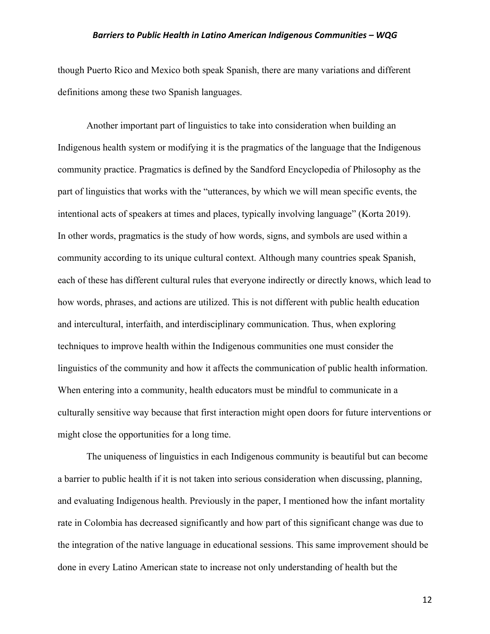though Puerto Rico and Mexico both speak Spanish, there are many variations and different definitions among these two Spanish languages.

Another important part of linguistics to take into consideration when building an Indigenous health system or modifying it is the pragmatics of the language that the Indigenous community practice. Pragmatics is defined by the Sandford Encyclopedia of Philosophy as the part of linguistics that works with the "utterances, by which we will mean specific events, the intentional acts of speakers at times and places, typically involving language" (Korta 2019). In other words, pragmatics is the study of how words, signs, and symbols are used within a community according to its unique cultural context. Although many countries speak Spanish, each of these has different cultural rules that everyone indirectly or directly knows, which lead to how words, phrases, and actions are utilized. This is not different with public health education and intercultural, interfaith, and interdisciplinary communication. Thus, when exploring techniques to improve health within the Indigenous communities one must consider the linguistics of the community and how it affects the communication of public health information. When entering into a community, health educators must be mindful to communicate in a culturally sensitive way because that first interaction might open doors for future interventions or might close the opportunities for a long time.

The uniqueness of linguistics in each Indigenous community is beautiful but can become a barrier to public health if it is not taken into serious consideration when discussing, planning, and evaluating Indigenous health. Previously in the paper, I mentioned how the infant mortality rate in Colombia has decreased significantly and how part of this significant change was due to the integration of the native language in educational sessions. This same improvement should be done in every Latino American state to increase not only understanding of health but the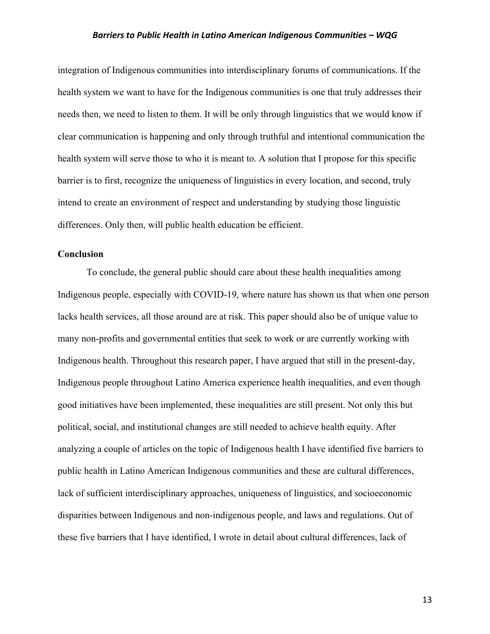integration of Indigenous communities into interdisciplinary forums of communications. If the health system we want to have for the Indigenous communities is one that truly addresses their needs then, we need to listen to them. It will be only through linguistics that we would know if clear communication is happening and only through truthful and intentional communication the health system will serve those to who it is meant to. A solution that I propose for this specific barrier is to first, recognize the uniqueness of linguistics in every location, and second, truly intend to create an environment of respect and understanding by studying those linguistic differences. Only then, will public health education be efficient.

#### **Conclusion**

To conclude, the general public should care about these health inequalities among Indigenous people, especially with COVID-19, where nature has shown us that when one person lacks health services, all those around are at risk. This paper should also be of unique value to many non-profits and governmental entities that seek to work or are currently working with Indigenous health. Throughout this research paper, I have argued that still in the present-day, Indigenous people throughout Latino America experience health inequalities, and even though good initiatives have been implemented, these inequalities are still present. Not only this but political, social, and institutional changes are still needed to achieve health equity. After analyzing a couple of articles on the topic of Indigenous health I have identified five barriers to public health in Latino American Indigenous communities and these are cultural differences, lack of sufficient interdisciplinary approaches, uniqueness of linguistics, and socioeconomic disparities between Indigenous and non-indigenous people, and laws and regulations. Out of these five barriers that I have identified, I wrote in detail about cultural differences, lack of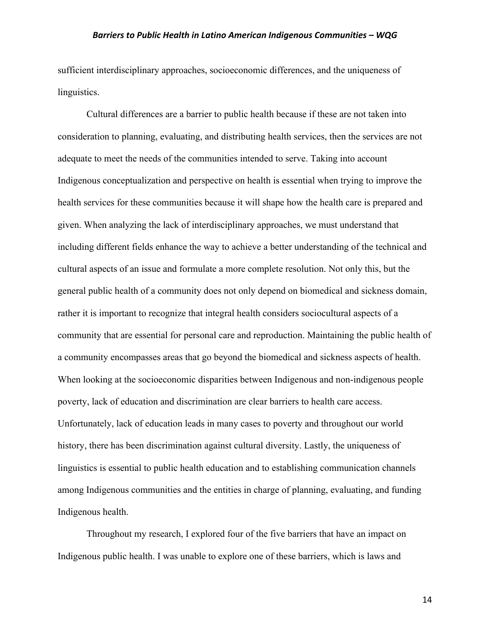sufficient interdisciplinary approaches, socioeconomic differences, and the uniqueness of linguistics.

Cultural differences are a barrier to public health because if these are not taken into consideration to planning, evaluating, and distributing health services, then the services are not adequate to meet the needs of the communities intended to serve. Taking into account Indigenous conceptualization and perspective on health is essential when trying to improve the health services for these communities because it will shape how the health care is prepared and given. When analyzing the lack of interdisciplinary approaches, we must understand that including different fields enhance the way to achieve a better understanding of the technical and cultural aspects of an issue and formulate a more complete resolution. Not only this, but the general public health of a community does not only depend on biomedical and sickness domain, rather it is important to recognize that integral health considers sociocultural aspects of a community that are essential for personal care and reproduction. Maintaining the public health of a community encompasses areas that go beyond the biomedical and sickness aspects of health. When looking at the socioeconomic disparities between Indigenous and non-indigenous people poverty, lack of education and discrimination are clear barriers to health care access. Unfortunately, lack of education leads in many cases to poverty and throughout our world history, there has been discrimination against cultural diversity. Lastly, the uniqueness of linguistics is essential to public health education and to establishing communication channels among Indigenous communities and the entities in charge of planning, evaluating, and funding Indigenous health.

Throughout my research, I explored four of the five barriers that have an impact on Indigenous public health. I was unable to explore one of these barriers, which is laws and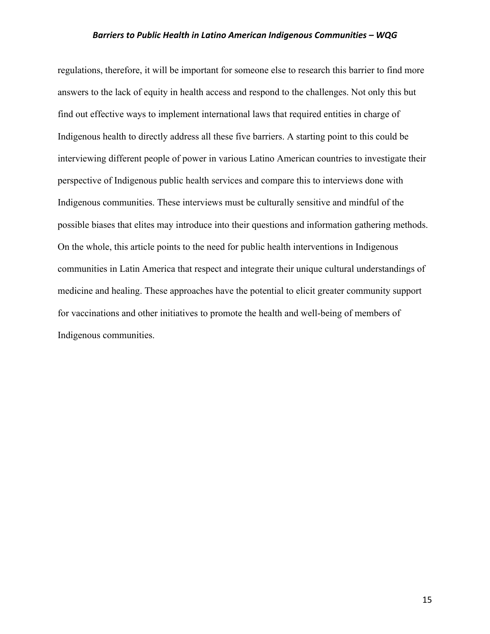regulations, therefore, it will be important for someone else to research this barrier to find more answers to the lack of equity in health access and respond to the challenges. Not only this but find out effective ways to implement international laws that required entities in charge of Indigenous health to directly address all these five barriers. A starting point to this could be interviewing different people of power in various Latino American countries to investigate their perspective of Indigenous public health services and compare this to interviews done with Indigenous communities. These interviews must be culturally sensitive and mindful of the possible biases that elites may introduce into their questions and information gathering methods. On the whole, this article points to the need for public health interventions in Indigenous communities in Latin America that respect and integrate their unique cultural understandings of medicine and healing. These approaches have the potential to elicit greater community support for vaccinations and other initiatives to promote the health and well-being of members of Indigenous communities.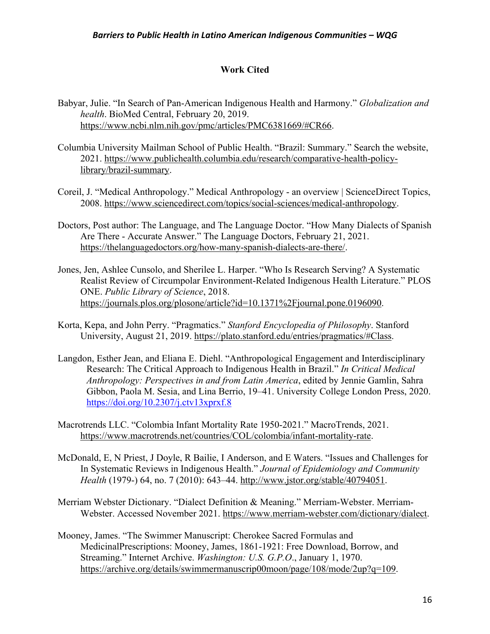# **Work Cited**

- Babyar, Julie. "In Search of Pan-American Indigenous Health and Harmony." *Globalization and health*. BioMed Central, February 20, 2019. https://www.ncbi.nlm.nih.gov/pmc/articles/PMC6381669/#CR66.
- Columbia University Mailman School of Public Health. "Brazil: Summary." Search the website, 2021. https://www.publichealth.columbia.edu/research/comparative-health-policylibrary/brazil-summary.
- Coreil, J. "Medical Anthropology." Medical Anthropology an overview | ScienceDirect Topics, 2008. https://www.sciencedirect.com/topics/social-sciences/medical-anthropology.
- Doctors, Post author: The Language, and The Language Doctor. "How Many Dialects of Spanish Are There - Accurate Answer." The Language Doctors, February 21, 2021. https://thelanguagedoctors.org/how-many-spanish-dialects-are-there/.
- Jones, Jen, Ashlee Cunsolo, and Sherilee L. Harper. "Who Is Research Serving? A Systematic Realist Review of Circumpolar Environment-Related Indigenous Health Literature." PLOS ONE. *Public Library of Science*, 2018. https://journals.plos.org/plosone/article?id=10.1371%2Fjournal.pone.0196090.
- Korta, Kepa, and John Perry. "Pragmatics." *Stanford Encyclopedia of Philosophy*. Stanford University, August 21, 2019. https://plato.stanford.edu/entries/pragmatics/#Class.
- Langdon, Esther Jean, and Eliana E. Diehl. "Anthropological Engagement and Interdisciplinary Research: The Critical Approach to Indigenous Health in Brazil." *In Critical Medical Anthropology: Perspectives in and from Latin America*, edited by Jennie Gamlin, Sahra Gibbon, Paola M. Sesia, and Lina Berrio, 19–41. University College London Press, 2020. https://doi.org/10.2307/j.ctv13xprxf.8
- Macrotrends LLC. "Colombia Infant Mortality Rate 1950-2021." MacroTrends, 2021. https://www.macrotrends.net/countries/COL/colombia/infant-mortality-rate.
- McDonald, E, N Priest, J Doyle, R Bailie, I Anderson, and E Waters. "Issues and Challenges for In Systematic Reviews in Indigenous Health." *Journal of Epidemiology and Community Health* (1979-) 64, no. 7 (2010): 643–44. http://www.jstor.org/stable/40794051.
- Merriam Webster Dictionary. "Dialect Definition & Meaning." Merriam-Webster. Merriam-Webster. Accessed November 2021. https://www.merriam-webster.com/dictionary/dialect.
- Mooney, James. "The Swimmer Manuscript: Cherokee Sacred Formulas and MedicinalPrescriptions: Mooney, James, 1861-1921: Free Download, Borrow, and Streaming." Internet Archive. *Washington: U.S. G.P.O*., January 1, 1970. https://archive.org/details/swimmermanuscrip00moon/page/108/mode/2up?q=109.